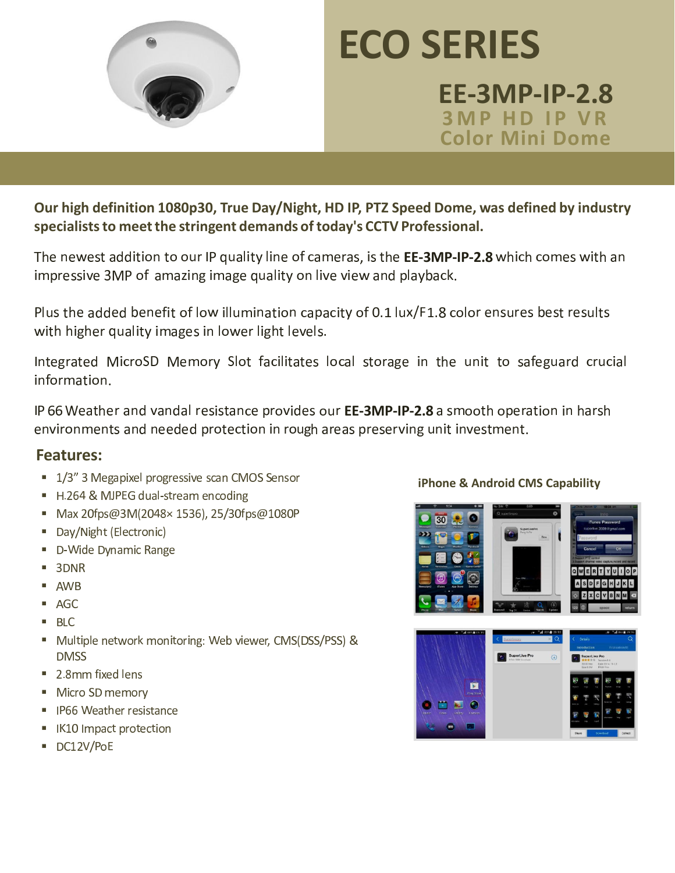

# **ECO SERIES**

#### **EE-3MP-IP-2.8 3 M P H D I P V R Color Mini Dome**

**Our high definition 1080p30, True Day/Night, HD IP, PTZ Speed Dome, was defined by industry specialists to meet the stringent demands of today's CCTV Professional.**

The newest addition to our IP quality line of cameras, is the **EE-3MP-IP-2.8** which comes with an impressive 3MP of amazing image quality on live view and playback.  $\;$ 

Plus the added benefit of low illumination capacity of 0.1 lux/E1.8 color ensures best results with higher quality images in lower light levels.  $\hspace{0.1em}$ 

IG IMP CONTRACT CURRENT BUT IS A CHURCH BE information.

IP 66 Weather and vandal resistance provides our **EE-3MP-IP-2.8** a smooth operation in harsh environments and needed protection in rough areas preserving unit investment.  $\,$ 

#### **Features:**

- 1/3" 3 Megapixel progressive scan CMOS Sensor
- H.264 & MJPEG dual-stream encoding
- Max 20fps@3M(2048× 1536), 25/30fps@1080P
- **Day/Night (Electronic)**
- **D**-Wide Dynamic Range
- $-3DNR$
- AWB
- AGC
- **BLC**
- Multiple network monitoring: Web viewer, CMS(DSS/PSS) & **DMSS**
- $\blacksquare$  2.8mm fixed lens
- Micro SD memory
- IP66 Weather resistance
- $\blacksquare$  IK10 Impact protection
- DC12V/PoE